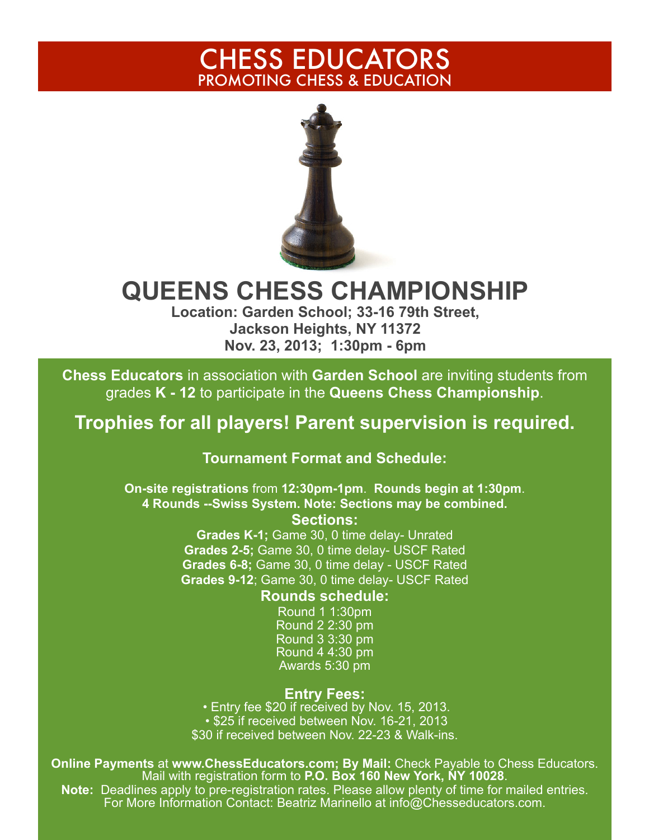# CHESS EDUCATORS PROMOTING CHESS & EDUCATION



# **QUEENS CHESS CHAMPIONSHIP**

**Location: Garden School; 33-16 79th Street, Jackson Heights, NY 11372 Nov. 23, 2013; 1:30pm - 6pm** 

**Chess Educators** in association with **Garden School** are inviting students from grades **K - 12** to participate in the **Queens Chess Championship**.

# **Trophies for all players! Parent supervision is required.**

### **Tournament Format and Schedule:**

**On-site registrations** from **12:30pm-1pm**. **Rounds begin at 1:30pm**. **4 Rounds --Swiss System. Note: Sections may be combined. Sections:**

> **Grades K-1;** Game 30, 0 time delay- Unrated **Grades 2-5;** Game 30, 0 time delay- USCF Rated **Grades 6-8;** Game 30, 0 time delay - USCF Rated **Grades 9-12**; Game 30, 0 time delay- USCF Rated

#### **Rounds schedule:**

Round 1 1:30pm Round 2 2:30 pm Round 3 3:30 pm Round 4 4:30 pm Awards 5:30 pm

**Entry Fees:**<br>• Entry fee \$20 if received by Nov. 15, 2013. • \$25 if received between Nov. 16-21, 2013 \$30 if received between Nov. 22-23 & Walk-ins.

**Online Payments** at **www.ChessEducators.com; By Mail:** Check Payable to Chess Educators. Mail with registration form to **P.O. Box 160 New York, NY 10028**. **Note:** Deadlines apply to pre-registration rates. Please allow plenty of time for mailed entries.

For More Information Contact: Beatriz Marinello at info@Chesseducators.com.